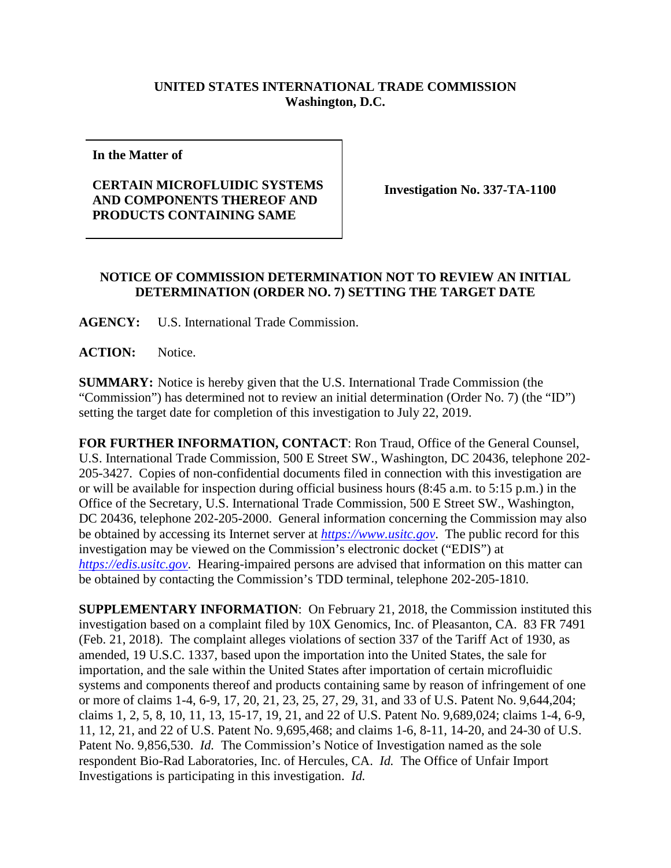## **UNITED STATES INTERNATIONAL TRADE COMMISSION Washington, D.C.**

**In the Matter of**

## **CERTAIN MICROFLUIDIC SYSTEMS AND COMPONENTS THEREOF AND PRODUCTS CONTAINING SAME**

**Investigation No. 337-TA-1100**

## **NOTICE OF COMMISSION DETERMINATION NOT TO REVIEW AN INITIAL DETERMINATION (ORDER NO. 7) SETTING THE TARGET DATE**

**AGENCY:** U.S. International Trade Commission.

**ACTION:** Notice.

**SUMMARY:** Notice is hereby given that the U.S. International Trade Commission (the "Commission") has determined not to review an initial determination (Order No. 7) (the "ID") setting the target date for completion of this investigation to July 22, 2019.

**FOR FURTHER INFORMATION, CONTACT**: Ron Traud, Office of the General Counsel, U.S. International Trade Commission, 500 E Street SW., Washington, DC 20436, telephone 202- 205-3427. Copies of non-confidential documents filed in connection with this investigation are or will be available for inspection during official business hours (8:45 a.m. to 5:15 p.m.) in the Office of the Secretary, U.S. International Trade Commission, 500 E Street SW., Washington, DC 20436, telephone 202-205-2000. General information concerning the Commission may also be obtained by accessing its Internet server at *[https://www.usitc.gov](https://www.usitc.gov/)*. The public record for this investigation may be viewed on the Commission's electronic docket ("EDIS") at *[https://edis.usitc.gov](https://edis.usitc.gov/)*. Hearing-impaired persons are advised that information on this matter can be obtained by contacting the Commission's TDD terminal, telephone 202-205-1810.

**SUPPLEMENTARY INFORMATION**: On February 21, 2018, the Commission instituted this investigation based on a complaint filed by 10X Genomics, Inc. of Pleasanton, CA. 83 FR 7491 (Feb. 21, 2018). The complaint alleges violations of section 337 of the Tariff Act of 1930, as amended, 19 U.S.C. 1337, based upon the importation into the United States, the sale for importation, and the sale within the United States after importation of certain microfluidic systems and components thereof and products containing same by reason of infringement of one or more of claims 1-4, 6-9, 17, 20, 21, 23, 25, 27, 29, 31, and 33 of U.S. Patent No. 9,644,204; claims 1, 2, 5, 8, 10, 11, 13, 15-17, 19, 21, and 22 of U.S. Patent No. 9,689,024; claims 1-4, 6-9, 11, 12, 21, and 22 of U.S. Patent No. 9,695,468; and claims 1-6, 8-11, 14-20, and 24-30 of U.S. Patent No. 9,856,530. *Id.* The Commission's Notice of Investigation named as the sole respondent Bio-Rad Laboratories, Inc. of Hercules, CA. *Id.* The Office of Unfair Import Investigations is participating in this investigation. *Id.*